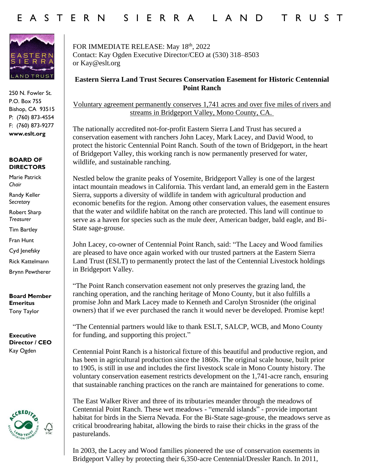

250 N. Fowler St. P.O. Box 755 Bishop, CA 93515 P: (760) 873-4554 F: (760) 873-9277 **www.eslt.org**

## **BOARD OF DIRECTORS**

Marie Patrick *Chair*

Randy Keller S*ecretary*

Robert Sharp *Treasurer*

Tim Bartley

Fran Hunt

Cyd Jenefsky

Rick Kattelmann

Brynn Pewtherer

**Board Member Emeritus** Tony Taylor

**Executive Director / CEO** Kay Ogden



FOR IMMEDIATE RELEASE: May 18th, 2022 Contact: Kay Ogden Executive Director/CEO at (530) 318–8503 or Kay@eslt.org

## **Eastern Sierra Land Trust Secures Conservation Easement for Historic Centennial Point Ranch**

Voluntary agreement permanently conserves 1,741 acres and over five miles of rivers and streams in Bridgeport Valley, Mono County, CA.

The nationally accredited not-for-profit Eastern Sierra Land Trust has secured a conservation easement with ranchers John Lacey, Mark Lacey, and David Wood, to protect the historic Centennial Point Ranch. South of the town of Bridgeport, in the heart of Bridgeport Valley, this working ranch is now permanently preserved for water, wildlife, and sustainable ranching.

Nestled below the granite peaks of Yosemite, Bridgeport Valley is one of the largest intact mountain meadows in California. This verdant land, an emerald gem in the Eastern Sierra, supports a diversity of wildlife in tandem with agricultural production and economic benefits for the region. Among other conservation values, the easement ensures that the water and wildlife habitat on the ranch are protected. This land will continue to serve as a haven for species such as the mule deer, American badger, bald eagle, and Bi-State sage-grouse.

John Lacey, co-owner of Centennial Point Ranch, said: "The Lacey and Wood families are pleased to have once again worked with our trusted partners at the Eastern Sierra Land Trust (ESLT) to permanently protect the last of the Centennial Livestock holdings in Bridgeport Valley.

"The Point Ranch conservation easement not only preserves the grazing land, the ranching operation, and the ranching heritage of Mono County, but it also fulfills a promise John and Mark Lacey made to Kenneth and Carolyn Strosnider (the original owners) that if we ever purchased the ranch it would never be developed. Promise kept!

"The Centennial partners would like to thank ESLT, SALCP, WCB, and Mono County for funding, and supporting this project."

Centennial Point Ranch is a historical fixture of this beautiful and productive region, and has been in agricultural production since the 1860s. The original scale house, built prior to 1905, is still in use and includes the first livestock scale in Mono County history. The voluntary conservation easement restricts development on the 1,741-acre ranch, ensuring that sustainable ranching practices on the ranch are maintained for generations to come.

The East Walker River and three of its tributaries meander through the meadows of Centennial Point Ranch. These wet meadows - "emerald islands" - provide important habitat for birds in the Sierra Nevada. For the Bi-State sage-grouse, the meadows serve as critical broodrearing habitat, allowing the birds to raise their chicks in the grass of the pasturelands.

In 2003, the Lacey and Wood families pioneered the use of conservation easements in Bridgeport Valley by protecting their 6,350-acre Centennial/Dressler Ranch. In 2011,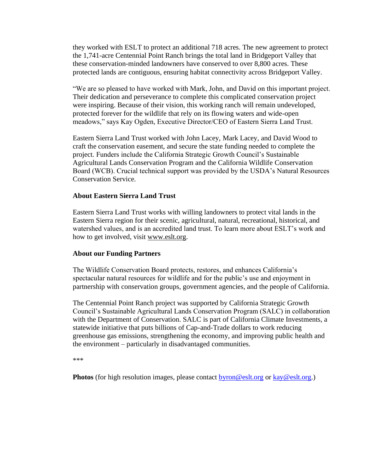they worked with ESLT to protect an additional 718 acres. The new agreement to protect the 1,741-acre Centennial Point Ranch brings the total land in Bridgeport Valley that these conservation-minded landowners have conserved to over 8,800 acres. These protected lands are contiguous, ensuring habitat connectivity across Bridgeport Valley.

"We are so pleased to have worked with Mark, John, and David on this important project. Their dedication and perseverance to complete this complicated conservation project were inspiring. Because of their vision, this working ranch will remain undeveloped, protected forever for the wildlife that rely on its flowing waters and wide-open meadows," says Kay Ogden, Executive Director/CEO of Eastern Sierra Land Trust.

Eastern Sierra Land Trust worked with John Lacey, Mark Lacey, and David Wood to craft the conservation easement, and secure the state funding needed to complete the project. Funders include the California Strategic Growth Council's Sustainable Agricultural Lands Conservation Program and the California Wildlife Conservation Board (WCB). Crucial technical support was provided by the USDA's Natural Resources Conservation Service.

## **About Eastern Sierra Land Trust**

Eastern Sierra Land Trust works with willing landowners to protect vital lands in the Eastern Sierra region for their scenic, agricultural, natural, recreational, historical, and watershed values, and is an accredited land trust. To learn more about ESLT's work and how to get involved, visit [www.eslt.org.](http://www.eslt.org/)

## **About our Funding Partners**

The Wildlife Conservation Board protects, restores, and enhances California's spectacular natural resources for wildlife and for the public's use and enjoyment in partnership with conservation groups, government agencies, and the people of California.

The Centennial Point Ranch project was supported by California Strategic Growth Council's Sustainable Agricultural Lands Conservation Program (SALC) in collaboration with the Department of Conservation. SALC is part of California Climate Investments, a statewide initiative that puts billions of Cap-and-Trade dollars to work reducing greenhouse gas emissions, strengthening the economy, and improving public health and the environment – particularly in disadvantaged communities.

```
***
```
**Photos** (for high resolution images, please contact [byron@eslt.org](mailto:byron@eslt.org) or [kay@eslt.org.](mailto:kay@eslt.org))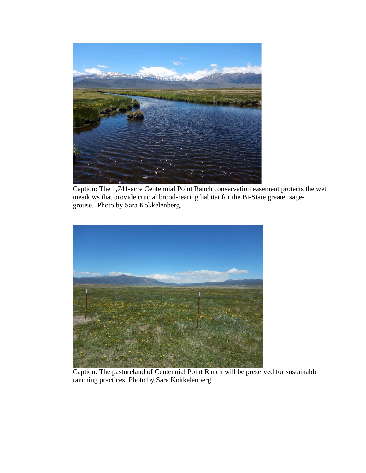

Caption: The 1,741-acre Centennial Point Ranch conservation easement protects the wet meadows that provide crucial brood-rearing habitat for the Bi-State greater sagegrouse. Photo by Sara Kokkelenberg.



Caption: The pastureland of Centennial Point Ranch will be preserved for sustainable ranching practices. Photo by Sara Kokkelenberg